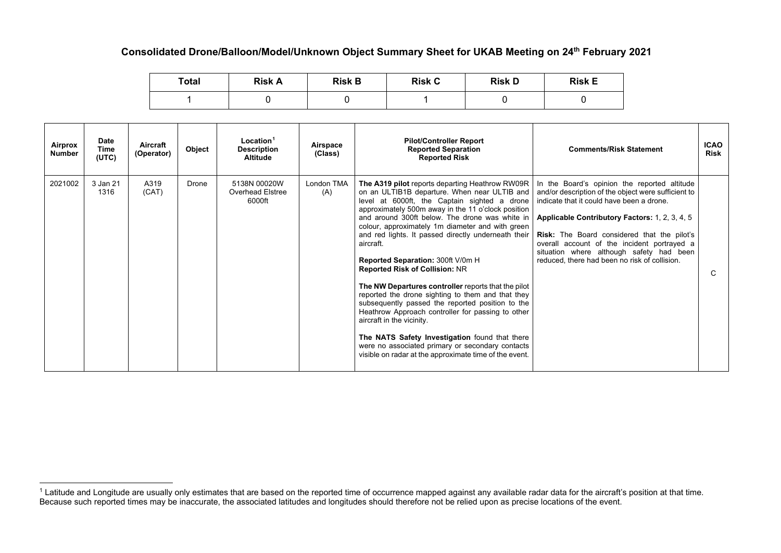## **Consolidated Drone/Balloon/Model/Unknown Object Summary Sheet for UKAB Meeting on 24th February 2021**

<span id="page-0-0"></span>

| Total | <b>Risk A</b> | <b>Risk B</b> | <b>Risk C</b> | <b>Risk D</b> | <b>Risk E</b> |
|-------|---------------|---------------|---------------|---------------|---------------|
|       |               |               |               |               |               |

| Airprox<br><b>Number</b> | <b>Date</b><br>Time<br>(UTC) | Aircraft<br>(Operator) | Object | Location <sup>1</sup><br><b>Description</b><br><b>Altitude</b> | Airspace<br>(Class) | <b>Pilot/Controller Report</b><br><b>Reported Separation</b><br><b>Reported Risk</b>                                                                                                                                                                                                                                                                                                                                                                                                                                                                                                                                                                                                                                                                                                                                                                                            | <b>Comments/Risk Statement</b>                                                                                                                                                                                                                                                                                                                                                                       | <b>ICAO</b><br><b>Risk</b> |
|--------------------------|------------------------------|------------------------|--------|----------------------------------------------------------------|---------------------|---------------------------------------------------------------------------------------------------------------------------------------------------------------------------------------------------------------------------------------------------------------------------------------------------------------------------------------------------------------------------------------------------------------------------------------------------------------------------------------------------------------------------------------------------------------------------------------------------------------------------------------------------------------------------------------------------------------------------------------------------------------------------------------------------------------------------------------------------------------------------------|------------------------------------------------------------------------------------------------------------------------------------------------------------------------------------------------------------------------------------------------------------------------------------------------------------------------------------------------------------------------------------------------------|----------------------------|
| 2021002                  | 3 Jan 21<br>1316             | A319<br>(CAT)          | Drone  | 5138N 00020W<br>Overhead Elstree<br>6000ft                     | London TMA<br>(A)   | The A319 pilot reports departing Heathrow RW09R<br>on an ULTIB1B departure. When near ULTIB and<br>level at 6000ft, the Captain sighted a drone<br>approximately 500m away in the 11 o'clock position<br>and around 300ft below. The drone was white in<br>colour, approximately 1m diameter and with green<br>and red lights. It passed directly underneath their<br>aircraft.<br>Reported Separation: 300ft V/0m H<br><b>Reported Risk of Collision: NR</b><br>The NW Departures controller reports that the pilot<br>reported the drone sighting to them and that they<br>subsequently passed the reported position to the<br>Heathrow Approach controller for passing to other<br>aircraft in the vicinity.<br>The NATS Safety Investigation found that there<br>were no associated primary or secondary contacts<br>visible on radar at the approximate time of the event. | In the Board's opinion the reported altitude<br>and/or description of the object were sufficient to<br>indicate that it could have been a drone.<br>Applicable Contributory Factors: 1, 2, 3, 4, 5<br><b>Risk:</b> The Board considered that the pilot's<br>overall account of the incident portrayed a<br>situation where although safety had been<br>reduced, there had been no risk of collision. | C                          |

 $^1$  Latitude and Longitude are usually only estimates that are based on the reported time of occurrence mapped against any available radar data for the aircraft's position at that time. Because such reported times may be inaccurate, the associated latitudes and longitudes should therefore not be relied upon as precise locations of the event.